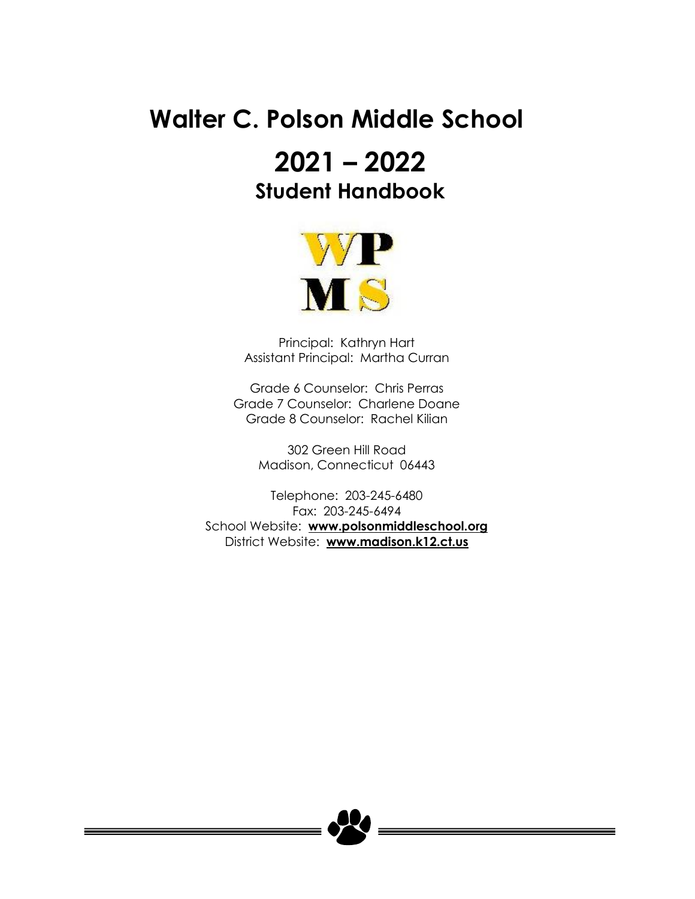# **Walter C. Polson Middle School**

# **2021 – 2022 Student Handbook**



Principal: Kathryn Hart Assistant Principal: Martha Curran

Grade 6 Counselor: Chris Perras Grade 7 Counselor: Charlene Doane Grade 8 Counselor: Rachel Kilian

> 302 Green Hill Road Madison, Connecticut 06443

Telephone: 203-245-6480 Fax: 203-245-6494 School Website: **[www.polsonmiddleschool.org](http://www.polsonmiddleschool.org/)** District Website: **[www.madison.k12.ct.us](http://www.madison.k12.ct.us/)**

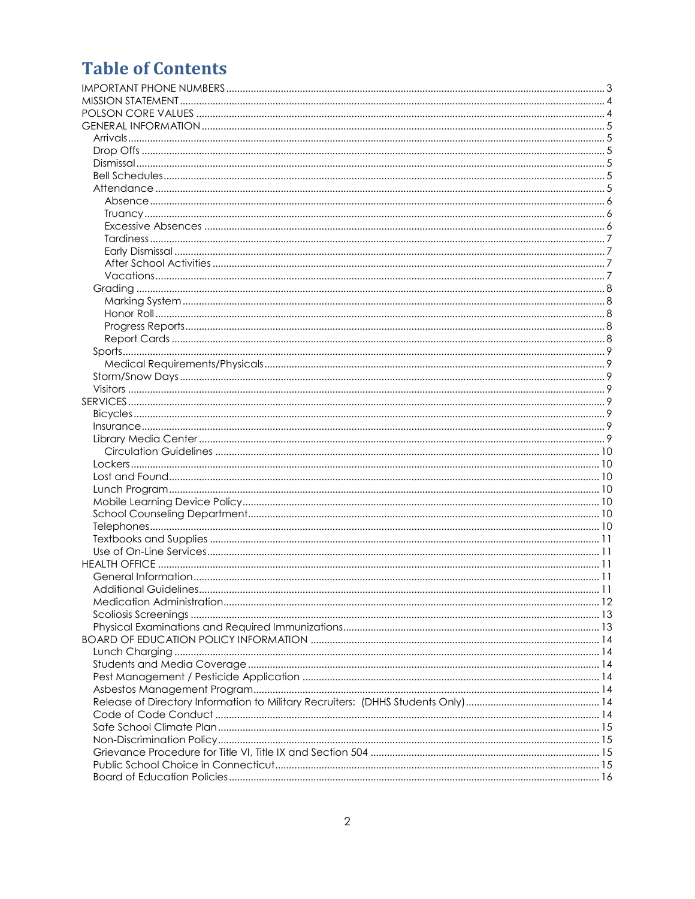# **Table of Contents**

| Additional Guidelines | . 11 |
|-----------------------|------|
|                       |      |
|                       |      |
|                       |      |
|                       |      |
|                       |      |
|                       |      |
|                       |      |
|                       |      |
|                       |      |
|                       |      |
|                       |      |
|                       |      |
|                       |      |
|                       |      |
|                       |      |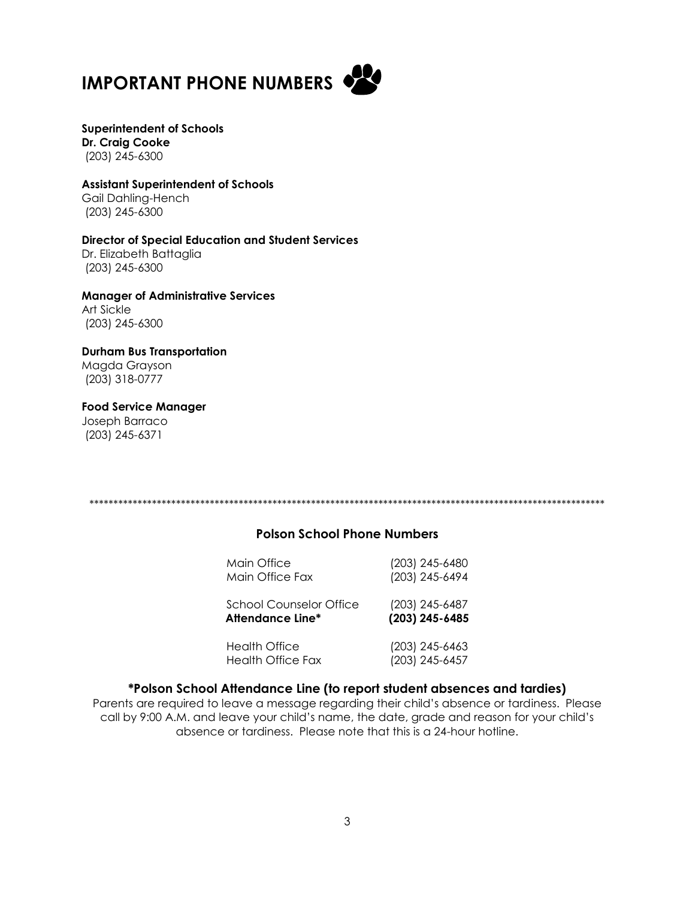<span id="page-2-0"></span>



# **Superintendent of Schools Dr. Craig Cooke**

(203) 245-6300

# **Assistant Superintendent of Schools**

Gail Dahling-Hench (203) 245-6300

#### **Director of Special Education and Student Services** Dr. Elizabeth Battaglia (203) 245-6300

**Manager of Administrative Services** Art Sickle (203) 245-6300

# **Durham Bus Transportation** Magda Grayson

(203) 318-0777

# **Food Service Manager**

Joseph Barraco (203) 245-6371

\*\*\*\*\*\*\*\*\*\*\*\*\*\*\*\*\*\*\*\*\*\*\*\*\*\*\*\*\*\*\*\*\*\*\*\*\*\*\*\*\*\*\*\*\*\*\*\*\*\*\*\*\*\*\*\*\*\*\*\*\*\*\*\*\*\*\*\*\*\*\*\*\*\*\*\*\*\*\*\*\*\*\*\*\*\*\*\*\*\*\*\*\*\*\*\*\*\*\*\*\*\*\*\*\*\*\*

# **Polson School Phone Numbers**

| Main Office                    | (203) 245-6480 |
|--------------------------------|----------------|
| Main Office Fax                | (203) 245-6494 |
| <b>School Counselor Office</b> | (203) 245-6487 |
| <b>Attendance Line*</b>        | (203) 245-6485 |
| Health Office                  | (203) 245-6463 |
| <b>Health Office Fax</b>       | (203) 245-6457 |

# **\*Polson School Attendance Line (to report student absences and tardies)**

Parents are required to leave a message regarding their child's absence or tardiness. Please call by 9:00 A.M. and leave your child's name, the date, grade and reason for your child's absence or tardiness. Please note that this is a 24-hour hotline.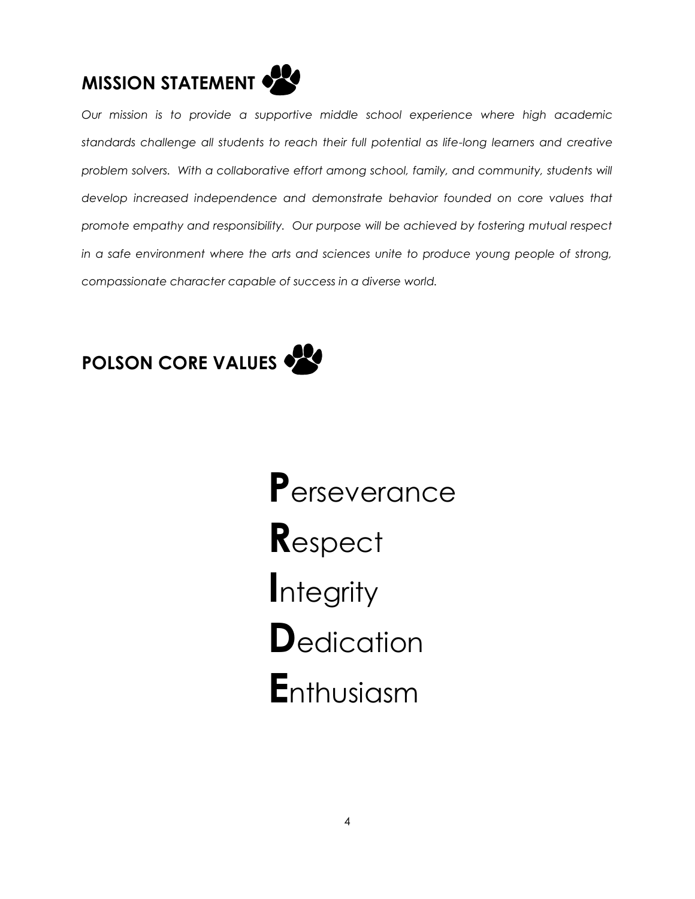<span id="page-3-0"></span>

*Our mission is to provide a supportive middle school experience where high academic standards challenge all students to reach their full potential as life-long learners and creative*  problem solvers. With a collaborative effort among school, family, and community, students will *develop increased independence and demonstrate behavior founded on core values that promote empathy and responsibility. Our purpose will be achieved by fostering mutual respect*  in a safe environment where the arts and sciences unite to produce young people of strong, *compassionate character capable of success in a diverse world.*

<span id="page-3-1"></span>

 **P**erseverance  **R**espect  **I**ntegrity **D**edication  **E**nthusiasm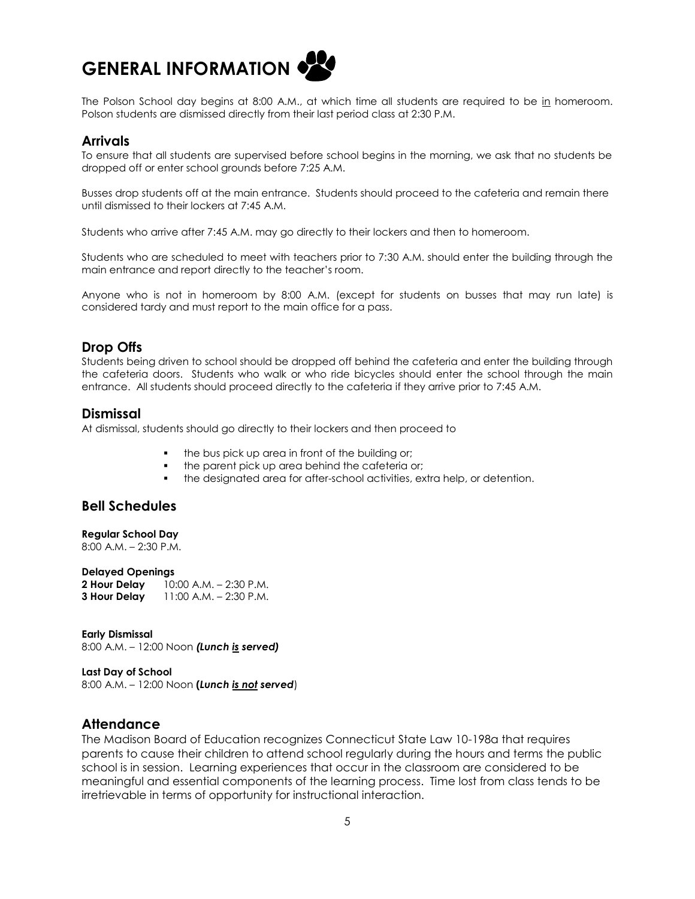<span id="page-4-0"></span>

The Polson School day begins at 8:00 A.M., at which time all students are required to be in homeroom. Polson students are dismissed directly from their last period class at 2:30 P.M.

## <span id="page-4-1"></span>**Arrivals**

To ensure that all students are supervised before school begins in the morning, we ask that no students be dropped off or enter school grounds before 7:25 A.M.

Busses drop students off at the main entrance. Students should proceed to the cafeteria and remain there until dismissed to their lockers at 7:45 A.M.

Students who arrive after 7:45 A.M. may go directly to their lockers and then to homeroom.

Students who are scheduled to meet with teachers prior to 7:30 A.M. should enter the building through the main entrance and report directly to the teacher's room.

Anyone who is not in homeroom by 8:00 A.M. (except for students on busses that may run late) is considered tardy and must report to the main office for a pass.

# <span id="page-4-2"></span>**Drop Offs**

Students being driven to school should be dropped off behind the cafeteria and enter the building through the cafeteria doors. Students who walk or who ride bicycles should enter the school through the main entrance. All students should proceed directly to the cafeteria if they arrive prior to 7:45 A.M.

## <span id="page-4-3"></span>**Dismissal**

At dismissal, students should go directly to their lockers and then proceed to

- the bus pick up area in front of the building or;
- the parent pick up area behind the cafeteria or;
- the designated area for after-school activities, extra help, or detention.

# <span id="page-4-4"></span>**Bell Schedules**

#### **Regular School Day**

8:00 A.M. – 2:30 P.M.

#### **Delayed Openings**

**2 Hour Delay** 10:00 A.M. – 2:30 P.M. **3 Hour Delay** 11:00 A.M. – 2:30 P.M.

#### **Early Dismissal**

8:00 A.M. – 12:00 Noon *(Lunch is served)*

#### **Last Day of School**

8:00 A.M. – 12:00 Noon **(***Lunch is not served*)

# <span id="page-4-5"></span>**Attendance**

The Madison Board of Education recognizes Connecticut State Law 10-198a that requires parents to cause their children to attend school regularly during the hours and terms the public school is in session. Learning experiences that occur in the classroom are considered to be meaningful and essential components of the learning process. Time lost from class tends to be irretrievable in terms of opportunity for instructional interaction.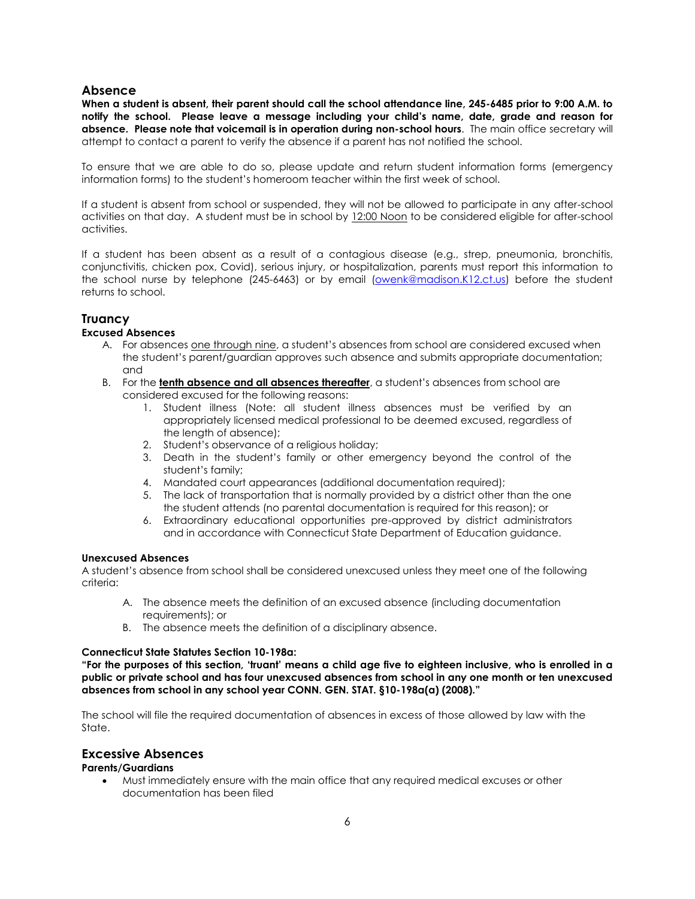### <span id="page-5-0"></span>**Absence**

**When a student is absent, their parent should call the school attendance line, 245-6485 prior to 9:00 A.M. to notify the school. Please leave a message including your child's name, date, grade and reason for absence. Please note that voicemail is in operation during non-school hours**. The main office secretary will attempt to contact a parent to verify the absence if a parent has not notified the school.

To ensure that we are able to do so, please update and return student information forms (emergency information forms) to the student's homeroom teacher within the first week of school.

If a student is absent from school or suspended, they will not be allowed to participate in any after-school activities on that day. A student must be in school by 12:00 Noon to be considered eligible for after-school activities.

If a student has been absent as a result of a contagious disease (e.g., strep, pneumonia, bronchitis, conjunctivitis, chicken pox, Covid), serious injury, or hospitalization, parents must report this information to the school nurse by telephone (245-6463) or by email [\(owenk@madison.K12.ct.us\)](mailto:owenk@madison.K12.ct.us) before the student returns to school.

# <span id="page-5-1"></span>**Truancy**

#### **Excused Absences**

- A. For absences one through nine, a student's absences from school are considered excused when the student's parent/guardian approves such absence and submits appropriate documentation; and
- B. For the **tenth absence and all absences thereafter**, a student's absences from school are considered excused for the following reasons:
	- 1. Student illness (Note: all student illness absences must be verified by an appropriately licensed medical professional to be deemed excused, regardless of the length of absence);
	- 2. Student's observance of a religious holiday;
	- 3. Death in the student's family or other emergency beyond the control of the student's family;
	- 4. Mandated court appearances (additional documentation required);
	- 5. The lack of transportation that is normally provided by a district other than the one the student attends (no parental documentation is required for this reason); or
	- 6. Extraordinary educational opportunities pre-approved by district administrators and in accordance with Connecticut State Department of Education guidance.

#### **Unexcused Absences**

A student's absence from school shall be considered unexcused unless they meet one of the following criteria:

- A. The absence meets the definition of an excused absence (including documentation requirements); or
- B. The absence meets the definition of a disciplinary absence.

#### **Connecticut State Statutes Section 10-198a:**

**"For the purposes of this section, 'truant' means a child age five to eighteen inclusive, who is enrolled in a public or private school and has four unexcused absences from school in any one month or ten unexcused absences from school in any school year CONN. GEN. STAT. §10-198a(a) (2008)."**

The school will file the required documentation of absences in excess of those allowed by law with the State.

# <span id="page-5-2"></span>**Excessive Absences**

#### **Parents/Guardians**

• Must immediately ensure with the main office that any required medical excuses or other documentation has been filed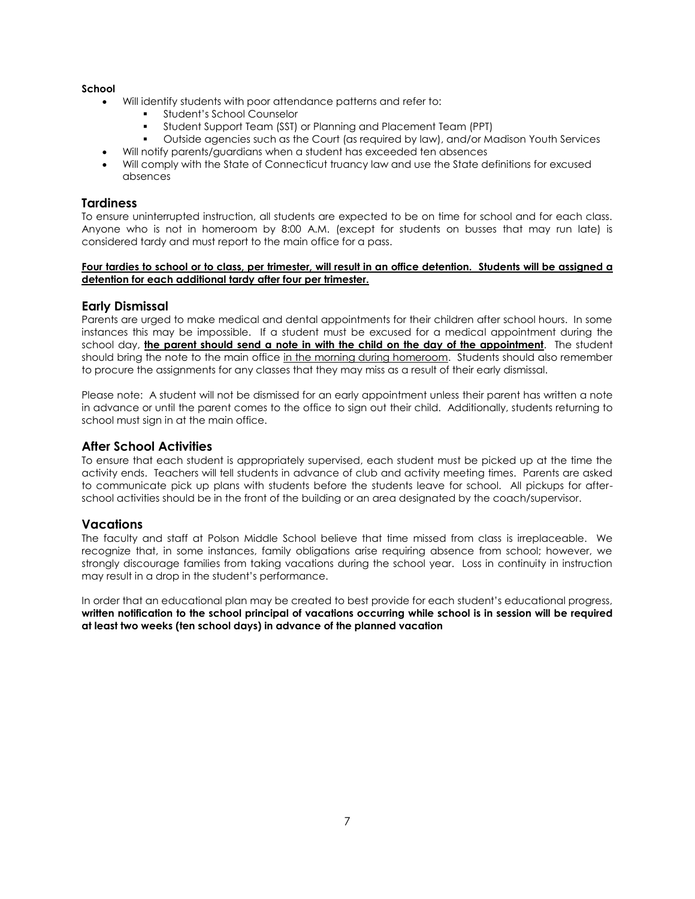#### **School**

- Will identify students with poor attendance patterns and refer to:
	- Student's School Counselor
	- Student Support Team (SST) or Planning and Placement Team (PPT)
	- Outside agencies such as the Court (as required by law), and/or Madison Youth Services
	- Will notify parents/guardians when a student has exceeded ten absences
- Will comply with the State of Connecticut truancy law and use the State definitions for excused absences

#### <span id="page-6-0"></span>**Tardiness**

To ensure uninterrupted instruction, all students are expected to be on time for school and for each class. Anyone who is not in homeroom by 8:00 A.M. (except for students on busses that may run late) is considered tardy and must report to the main office for a pass.

#### **Four tardies to school or to class, per trimester, will result in an office detention. Students will be assigned a detention for each additional tardy after four per trimester.**

### <span id="page-6-1"></span>**Early Dismissal**

Parents are urged to make medical and dental appointments for their children after school hours. In some instances this may be impossible. If a student must be excused for a medical appointment during the school day, **the parent should send a note in with the child on the day of the appointment**. The student should bring the note to the main office in the morning during homeroom. Students should also remember to procure the assignments for any classes that they may miss as a result of their early dismissal.

Please note: A student will not be dismissed for an early appointment unless their parent has written a note in advance or until the parent comes to the office to sign out their child. Additionally, students returning to school must sign in at the main office.

#### <span id="page-6-2"></span>**After School Activities**

To ensure that each student is appropriately supervised, each student must be picked up at the time the activity ends. Teachers will tell students in advance of club and activity meeting times. Parents are asked to communicate pick up plans with students before the students leave for school. All pickups for afterschool activities should be in the front of the building or an area designated by the coach/supervisor.

#### <span id="page-6-3"></span>**Vacations**

The faculty and staff at Polson Middle School believe that time missed from class is irreplaceable. We recognize that, in some instances, family obligations arise requiring absence from school; however, we strongly discourage families from taking vacations during the school year. Loss in continuity in instruction may result in a drop in the student's performance.

In order that an educational plan may be created to best provide for each student's educational progress, **written notification to the school principal of vacations occurring while school is in session will be required at least two weeks (ten school days) in advance of the planned vacation**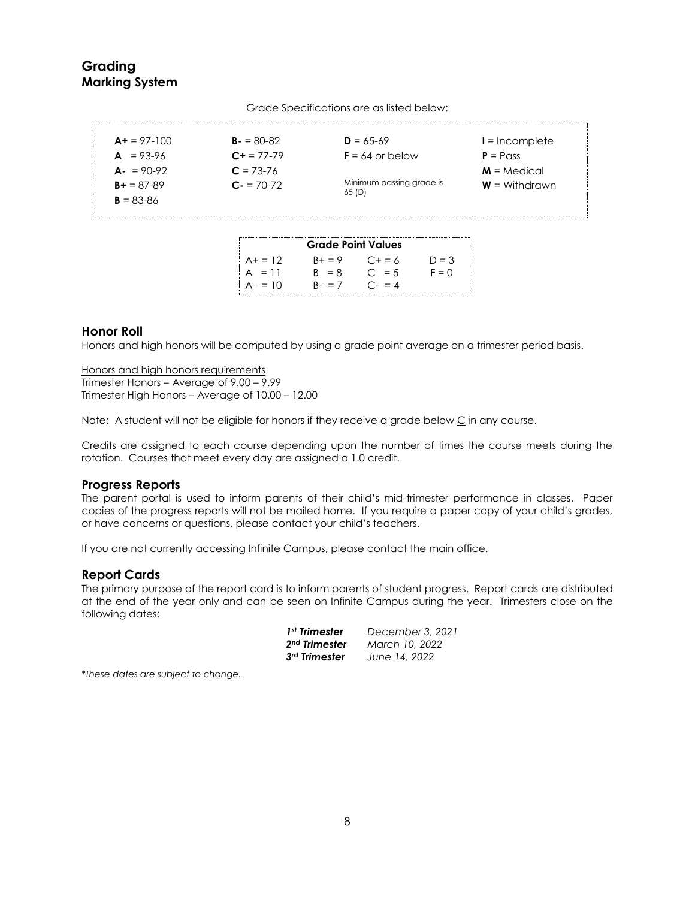# <span id="page-7-1"></span><span id="page-7-0"></span>**Grading Marking System**

| $A+ = 97-100$ | $B - 80-82$ | $D = 65-69$                       | $I = Incomplete$ |
|---------------|-------------|-----------------------------------|------------------|
| $A = 93-96$   | $C + 77-79$ | $F = 64$ or below                 | $P = P$ ass      |
| $A = 90-92$   | $C = 73-76$ |                                   | $M = Medical$    |
| $B + 87-89$   | $C - 70-72$ | Minimum passing grade is<br>65(D) | $W =$ Withdrawn  |
| $B = 83 - 86$ |             |                                   |                  |

Grade Specifications are as listed below:

|           | <b>Grade Point Values</b> |                 |         |
|-----------|---------------------------|-----------------|---------|
| $A+ = 12$ | $B + = 9$                 | $C + 56$        | $D = 3$ |
| $A = 11$  | $R = 8$                   | $C_{\rm i} = 5$ | $F = 0$ |
| $A - 10$  | $B - = 7$                 | $C - = 4$       |         |

# <span id="page-7-2"></span>**Honor Roll**

Honors and high honors will be computed by using a grade point average on a trimester period basis.

Honors and high honors requirements Trimester Honors – Average of 9.00 – 9.99 Trimester High Honors – Average of 10.00 – 12.00

Note: A student will not be eligible for honors if they receive a grade below C in any course.

Credits are assigned to each course depending upon the number of times the course meets during the rotation. Courses that meet every day are assigned a 1.0 credit.

# <span id="page-7-3"></span>**Progress Reports**

The parent portal is used to inform parents of their child's mid-trimester performance in classes. Paper copies of the progress reports will not be mailed home. If you require a paper copy of your child's grades, or have concerns or questions, please contact your child's teachers.

If you are not currently accessing Infinite Campus, please contact the main office.

#### <span id="page-7-4"></span>**Report Cards**

The primary purpose of the report card is to inform parents of student progress. Report cards are distributed at the end of the year only and can be seen on Infinite Campus during the year. Trimesters close on the following dates:

| 1 <sup>st</sup> Trimester | December 3, 2021 |
|---------------------------|------------------|
| 2 <sup>nd</sup> Trimester | March 10, 2022   |
| 3rd Trimester             | June 14, 2022    |

*\*These dates are subject to change.*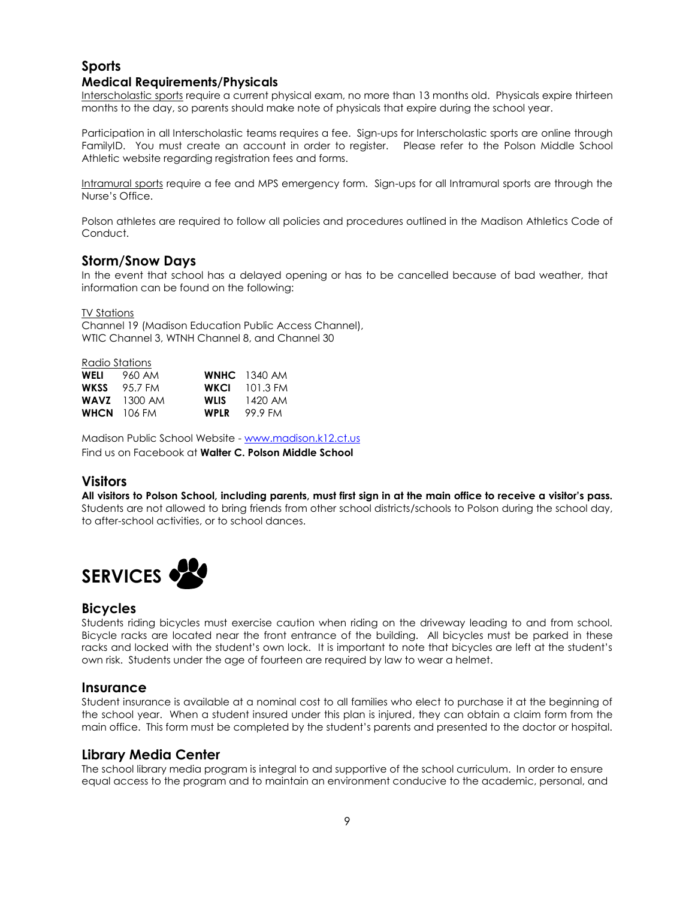# <span id="page-8-0"></span>**Sports Medical Requirements/Physicals**

<span id="page-8-1"></span>Interscholastic sports require a current physical exam, no more than 13 months old. Physicals expire thirteen months to the day, so parents should make note of physicals that expire during the school year.

Participation in all Interscholastic teams requires a fee. Sign-ups for Interscholastic sports are online through FamilyID. You must create an account in order to register. Please refer to the Polson Middle School Athletic website regarding registration fees and forms.

Intramural sports require a fee and MPS emergency form. Sign-ups for all Intramural sports are through the Nurse's Office.

Polson athletes are required to follow all policies and procedures outlined in the Madison Athletics Code of Conduct.

# <span id="page-8-2"></span>**Storm/Snow Days**

In the event that school has a delayed opening or has to be cancelled because of bad weather, that information can be found on the following:

TV Stations

Channel 19 (Madison Education Public Access Channel), WTIC Channel 3, WTNH Channel 8, and Channel 30

Radio Stations

| WELI | 960 AM         |             | <b>WNHC</b> 1340 AM  |
|------|----------------|-------------|----------------------|
| WKSS | 95.7 FM        |             | <b>WKCL</b> 101.3 FM |
|      | $WAVZ$ 1300 AM | WLIS        | 1420 AM              |
|      | WHCN 106 FM    | <b>WPLR</b> | 99.9 FM              |

Madison Public School Website - [www.madison.k12.ct.us](http://www.madison.k12.ct.us/) Find us on Facebook at **Walter C. Polson Middle School**

# <span id="page-8-3"></span>**Visitors**

**All visitors to Polson School, including parents, must first sign in at the main office to receive a visitor's pass.** Students are not allowed to bring friends from other school districts/schools to Polson during the school day, to after-school activities, or to school dances.

<span id="page-8-4"></span>

# <span id="page-8-5"></span>**Bicycles**

Students riding bicycles must exercise caution when riding on the driveway leading to and from school. Bicycle racks are located near the front entrance of the building. All bicycles must be parked in these racks and locked with the student's own lock. It is important to note that bicycles are left at the student's own risk. Students under the age of fourteen are required by law to wear a helmet.

# <span id="page-8-6"></span>**Insurance**

Student insurance is available at a nominal cost to all families who elect to purchase it at the beginning of the school year. When a student insured under this plan is injured, they can obtain a claim form from the main office. This form must be completed by the student's parents and presented to the doctor or hospital.

# <span id="page-8-7"></span>**Library Media Center**

The school library media program is integral to and supportive of the school curriculum. In order to ensure equal access to the program and to maintain an environment conducive to the academic, personal, and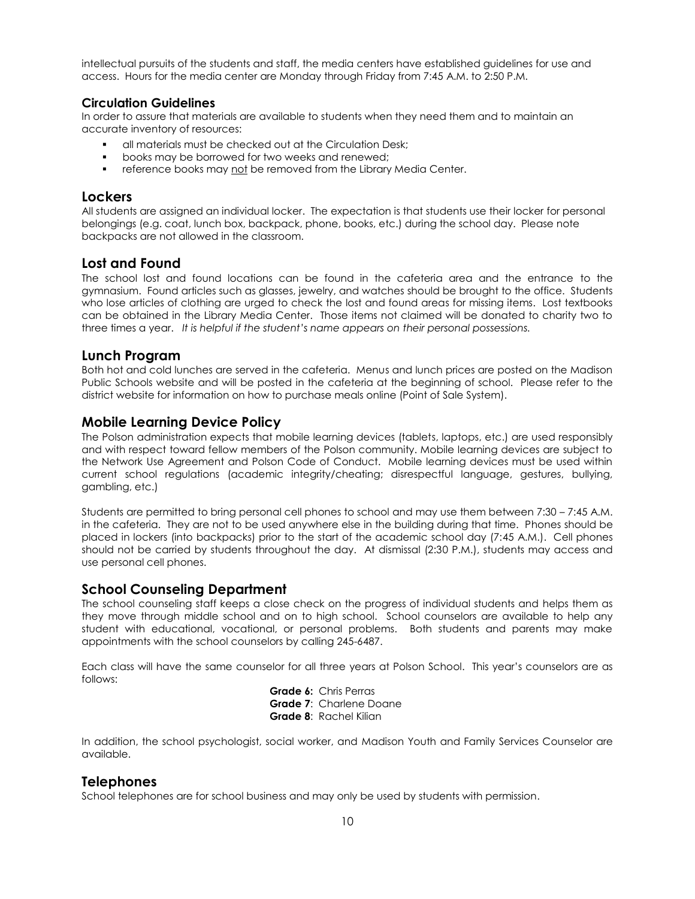intellectual pursuits of the students and staff, the media centers have established guidelines for use and access. Hours for the media center are Monday through Friday from 7:45 A.M. to 2:50 P.M.

### <span id="page-9-0"></span>**Circulation Guidelines**

In order to assure that materials are available to students when they need them and to maintain an accurate inventory of resources:

- all materials must be checked out at the Circulation Desk;
- books may be borrowed for two weeks and renewed;
- **•** reference books may not be removed from the Library Media Center.

# <span id="page-9-1"></span>**Lockers**

All students are assigned an individual locker. The expectation is that students use their locker for personal belongings (e.g. coat, lunch box, backpack, phone, books, etc.) during the school day. Please note backpacks are not allowed in the classroom.

### <span id="page-9-2"></span>**Lost and Found**

The school lost and found locations can be found in the cafeteria area and the entrance to the gymnasium. Found articles such as glasses, jewelry, and watches should be brought to the office. Students who lose articles of clothing are urged to check the lost and found areas for missing items. Lost textbooks can be obtained in the Library Media Center. Those items not claimed will be donated to charity two to three times a year. *It is helpful if the student's name appears on their personal possessions.*

# <span id="page-9-3"></span>**Lunch Program**

Both hot and cold lunches are served in the cafeteria. Menus and lunch prices are posted on the Madison Public Schools website and will be posted in the cafeteria at the beginning of school. Please refer to the district website for information on how to purchase meals online (Point of Sale System).

# <span id="page-9-4"></span>**Mobile Learning Device Policy**

The Polson administration expects that mobile learning devices (tablets, laptops, etc.) are used responsibly and with respect toward fellow members of the Polson community. Mobile learning devices are subject to the Network Use Agreement and Polson Code of Conduct. Mobile learning devices must be used within current school regulations (academic integrity/cheating; disrespectful language, gestures, bullying, gambling, etc.)

Students are permitted to bring personal cell phones to school and may use them between 7:30 – 7:45 A.M. in the cafeteria. They are not to be used anywhere else in the building during that time. Phones should be placed in lockers (into backpacks) prior to the start of the academic school day (7:45 A.M.). Cell phones should not be carried by students throughout the day. At dismissal (2:30 P.M.), students may access and use personal cell phones.

# <span id="page-9-5"></span>**School Counseling Department**

The school counseling staff keeps a close check on the progress of individual students and helps them as they move through middle school and on to high school. School counselors are available to help any student with educational, vocational, or personal problems. Both students and parents may make appointments with the school counselors by calling 245-6487.

Each class will have the same counselor for all three years at Polson School. This year's counselors are as follows:

> **Grade 6:** Chris Perras **Grade 7**: Charlene Doane **Grade 8**: Rachel Kilian

In addition, the school psychologist, social worker, and Madison Youth and Family Services Counselor are available.

# <span id="page-9-6"></span>**Telephones**

School telephones are for school business and may only be used by students with permission.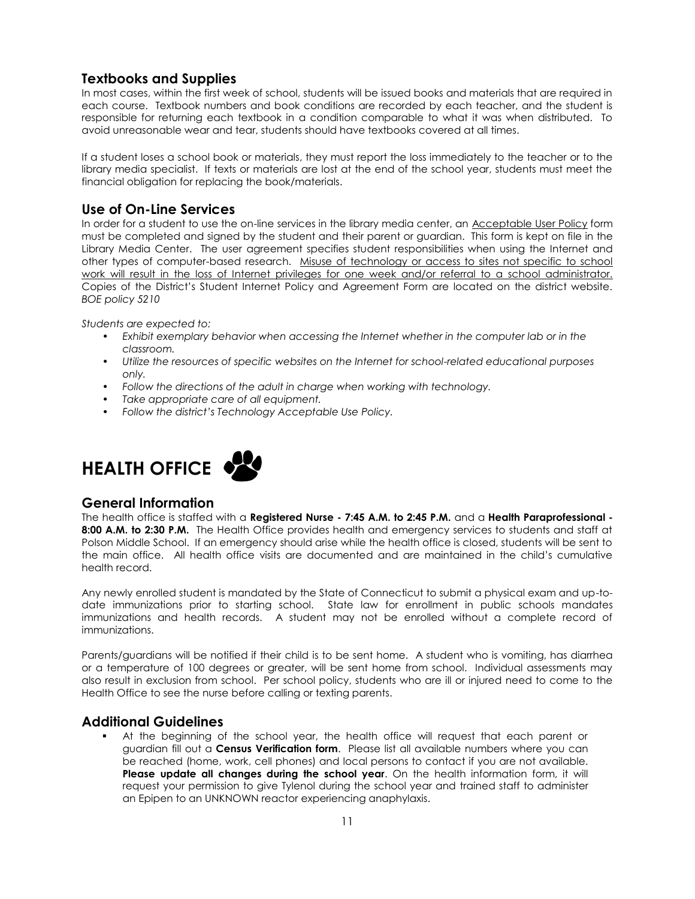# <span id="page-10-0"></span>**Textbooks and Supplies**

In most cases, within the first week of school, students will be issued books and materials that are required in each course. Textbook numbers and book conditions are recorded by each teacher, and the student is responsible for returning each textbook in a condition comparable to what it was when distributed. To avoid unreasonable wear and tear, students should have textbooks covered at all times.

If a student loses a school book or materials, they must report the loss immediately to the teacher or to the library media specialist. If texts or materials are lost at the end of the school year, students must meet the financial obligation for replacing the book/materials.

# <span id="page-10-1"></span>**Use of On-Line Services**

In order for a student to use the on-line services in the library media center, an Acceptable User Policy form must be completed and signed by the student and their parent or guardian. This form is kept on file in the Library Media Center. The user agreement specifies student responsibilities when using the Internet and other types of computer-based research. Misuse of technology or access to sites not specific to school work will result in the loss of Internet privileges for one week and/or referral to a school administrator. Copies of the District's Student Internet Policy and Agreement Form are located on the district website. *BOE policy 5210*

*Students are expected to:*

- *• Exhibit exemplary behavior when accessing the Internet whether in the computer lab or in the classroom.*
- *• Utilize the resources of specific websites on the Internet for school-related educational purposes only.*
- *• Follow the directions of the adult in charge when working with technology.*
- *• Take appropriate care of all equipment.*
- *• Follow the district's Technology Acceptable Use Policy.*

<span id="page-10-2"></span>

# <span id="page-10-3"></span>**General Information**

The health office is staffed with a **Registered Nurse - 7:45 A.M. to 2:45 P.M.** and a **Health Paraprofessional - 8:00 A.M. to 2:30 P.M.** The Health Office provides health and emergency services to students and staff at Polson Middle School. If an emergency should arise while the health office is closed, students will be sent to the main office. All health office visits are documented and are maintained in the child's cumulative health record.

Any newly enrolled student is mandated by the State of Connecticut to submit a physical exam and up-todate immunizations prior to starting school. State law for enrollment in public schools mandates immunizations and health records. A student may not be enrolled without a complete record of immunizations.

Parents/guardians will be notified if their child is to be sent home. A student who is vomiting, has diarrhea or a temperature of 100 degrees or greater, will be sent home from school. Individual assessments may also result in exclusion from school. Per school policy, students who are ill or injured need to come to the Health Office to see the nurse before calling or texting parents.

# <span id="page-10-4"></span>**Additional Guidelines**

▪ At the beginning of the school year, the health office will request that each parent or guardian fill out a **Census Verification form**. Please list all available numbers where you can be reached (home, work, cell phones) and local persons to contact if you are not available. **Please update all changes during the school year**. On the health information form, it will request your permission to give Tylenol during the school year and trained staff to administer an Epipen to an UNKNOWN reactor experiencing anaphylaxis.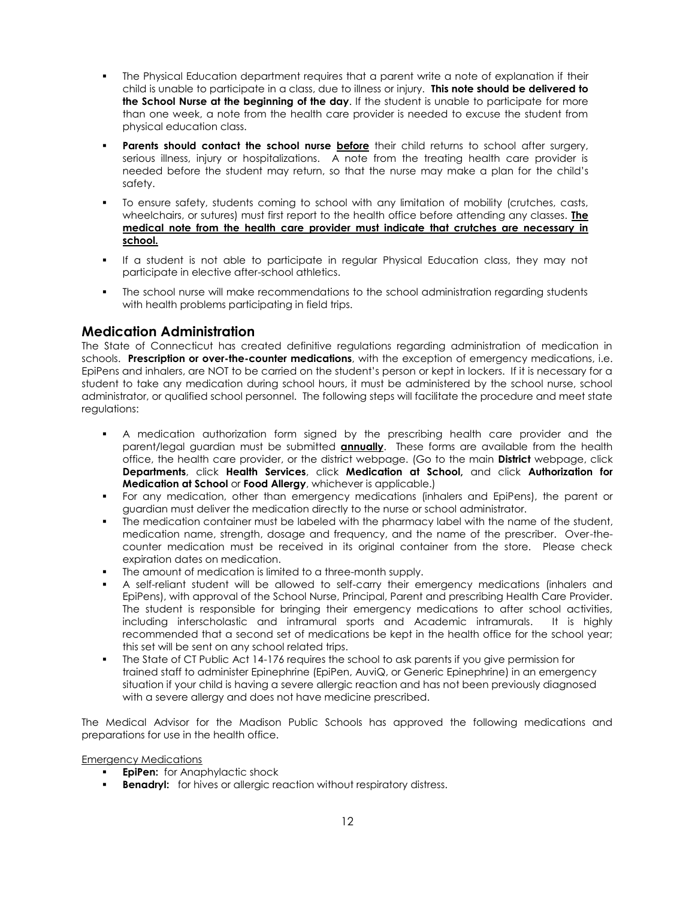- The Physical Education department requires that a parent write a note of explanation if their child is unable to participate in a class, due to illness or injury. **This note should be delivered to the School Nurse at the beginning of the day**. If the student is unable to participate for more than one week, a note from the health care provider is needed to excuse the student from physical education class.
- Parents should contact the school nurse before their child returns to school after surgery, serious illness, injury or hospitalizations. A note from the treating health care provider is needed before the student may return, so that the nurse may make a plan for the child's safety.
- To ensure safety, students coming to school with any limitation of mobility (crutches, casts, wheelchairs, or sutures) must first report to the health office before attending any classes. **The medical note from the health care provider must indicate that crutches are necessary in school.**
- If a student is not able to participate in regular Physical Education class, they may not participate in elective after-school athletics.
- The school nurse will make recommendations to the school administration regarding students with health problems participating in field trips.

# <span id="page-11-0"></span>**Medication Administration**

The State of Connecticut has created definitive regulations regarding administration of medication in schools. **Prescription or over-the-counter medications**, with the exception of emergency medications, i.e. EpiPens and inhalers, are NOT to be carried on the student's person or kept in lockers. If it is necessary for a student to take any medication during school hours, it must be administered by the school nurse, school administrator, or qualified school personnel. The following steps will facilitate the procedure and meet state regulations:

- A medication authorization form signed by the prescribing health care provider and the parent/legal guardian must be submitted **annually**. These forms are available from the health office, the health care provider, or the district webpage. (Go to the main **District** webpage, click **Departments**, click **Health Services**, click **Medication at School,** and click **Authorization for Medication at School** or **Food Allergy**, whichever is applicable.)
- For any medication, other than emergency medications (inhalers and EpiPens), the parent or guardian must deliver the medication directly to the nurse or school administrator.
- The medication container must be labeled with the pharmacy label with the name of the student, medication name, strength, dosage and frequency, and the name of the prescriber. Over-thecounter medication must be received in its original container from the store. Please check expiration dates on medication.
- The amount of medication is limited to a three-month supply.
- A self-reliant student will be allowed to self-carry their emergency medications (inhalers and EpiPens), with approval of the School Nurse, Principal, Parent and prescribing Health Care Provider. The student is responsible for bringing their emergency medications to after school activities, including interscholastic and intramural sports and Academic intramurals. It is highly recommended that a second set of medications be kept in the health office for the school year; this set will be sent on any school related trips.
- The State of CT Public Act 14-176 requires the school to ask parents if you give permission for trained staff to administer Epinephrine (EpiPen, AuviQ, or Generic Epinephrine) in an emergency situation if your child is having a severe allergic reaction and has not been previously diagnosed with a severe allergy and does not have medicine prescribed.

The Medical Advisor for the Madison Public Schools has approved the following medications and preparations for use in the health office.

Emergency Medications

- **EpiPen:** for Anaphylactic shock
- **Benadryl:** for hives or allergic reaction without respiratory distress.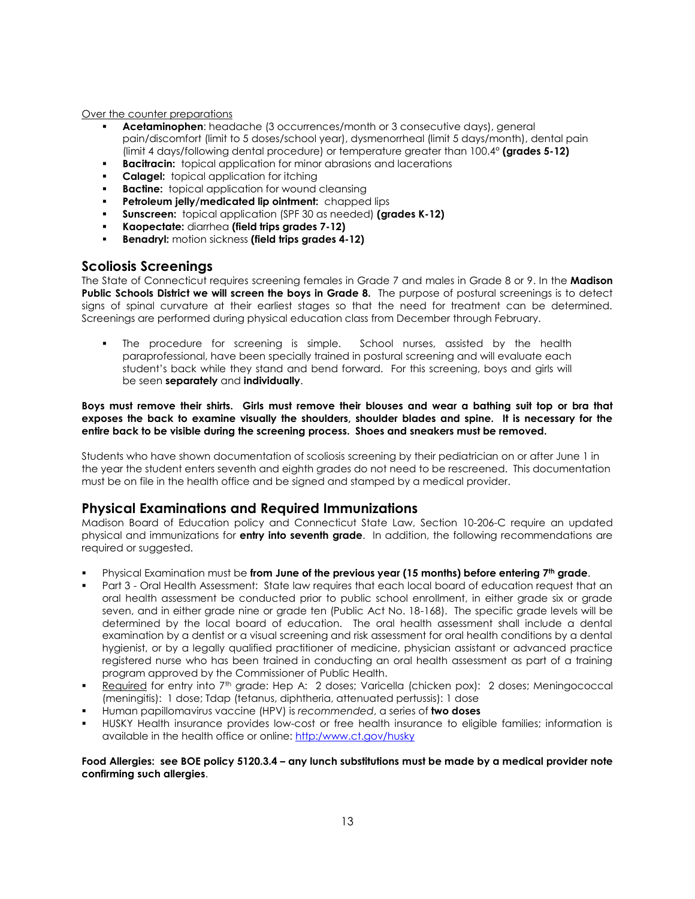Over the counter preparations

- Acetaminophen: headache (3 occurrences/month or 3 consecutive days), general pain/discomfort (limit to 5 doses/school year), dysmenorrheal (limit 5 days/month), dental pain (limit 4 days/following dental procedure) or temperature greater than 100.4° **(grades 5-12)**
- **Bacitracin:** topical application for minor abrasions and lacerations
- **Calagel:** topical application for itching
- **Bactine:** topical application for wound cleansing
- **Petroleum jelly/medicated lip ointment:** chapped lips
- Sunscreen: topical application (SPF 30 as needed) (grades K-12)
- **Kaopectate:** diarrhea **(field trips grades 7-12)**
- **Benadryl:** motion sickness (field trips grades 4-12)

### <span id="page-12-0"></span>**Scoliosis Screenings**

The State of Connecticut requires screening females in Grade 7 and males in Grade 8 or 9. In the **Madison Public Schools District we will screen the boys in Grade 8.** The purpose of postural screenings is to detect signs of spinal curvature at their earliest stages so that the need for treatment can be determined. Screenings are performed during physical education class from December through February.

**•** The procedure for screening is simple. School nurses, assisted by the health paraprofessional, have been specially trained in postural screening and will evaluate each student's back while they stand and bend forward. For this screening, boys and girls will be seen **separately** and **individually**.

**Boys must remove their shirts. Girls must remove their blouses and wear a bathing suit top or bra that exposes the back to examine visually the shoulders, shoulder blades and spine. It is necessary for the entire back to be visible during the screening process. Shoes and sneakers must be removed.**

Students who have shown documentation of scoliosis screening by their pediatrician on or after June 1 in the year the student enters seventh and eighth grades do not need to be rescreened. This documentation must be on file in the health office and be signed and stamped by a medical provider.

# <span id="page-12-1"></span>**Physical Examinations and Required Immunizations**

Madison Board of Education policy and Connecticut State Law, Section 10-206-C require an updated physical and immunizations for **entry into seventh grade**. In addition, the following recommendations are required or suggested.

- Physical Examination must be **from June of the previous year (15 months) before entering 7th grade**.
- Part 3 Oral Health Assessment: State law requires that each local board of education request that an oral health assessment be conducted prior to public school enrollment, in either grade six or grade seven, and in either grade nine or grade ten (Public Act No. 18-168). The specific grade levels will be determined by the local board of education. The oral health assessment shall include a dental examination by a dentist or a visual screening and risk assessment for oral health conditions by a dental hygienist, or by a legally qualified practitioner of medicine, physician assistant or advanced practice registered nurse who has been trained in conducting an oral health assessment as part of a training program approved by the Commissioner of Public Health.
- **Required** for entry into 7<sup>th</sup> grade: Hep A: 2 doses; Varicella (chicken pox): 2 doses; Meningococcal (meningitis): 1 dose; Tdap (tetanus, diphtheria, attenuated pertussis): 1 dose
- Human papillomavirus vaccine (HPV) is *recommended*, a series of **two doses**
- HUSKY Health insurance provides low-cost or free health insurance to eligible families; information is available in the health office or online: [http:/www.ct.gov/husky](http://www.ct.gov/husky)

#### **Food Allergies: see BOE policy 5120.3.4 – any lunch substitutions must be made by a medical provider note confirming such allergies**.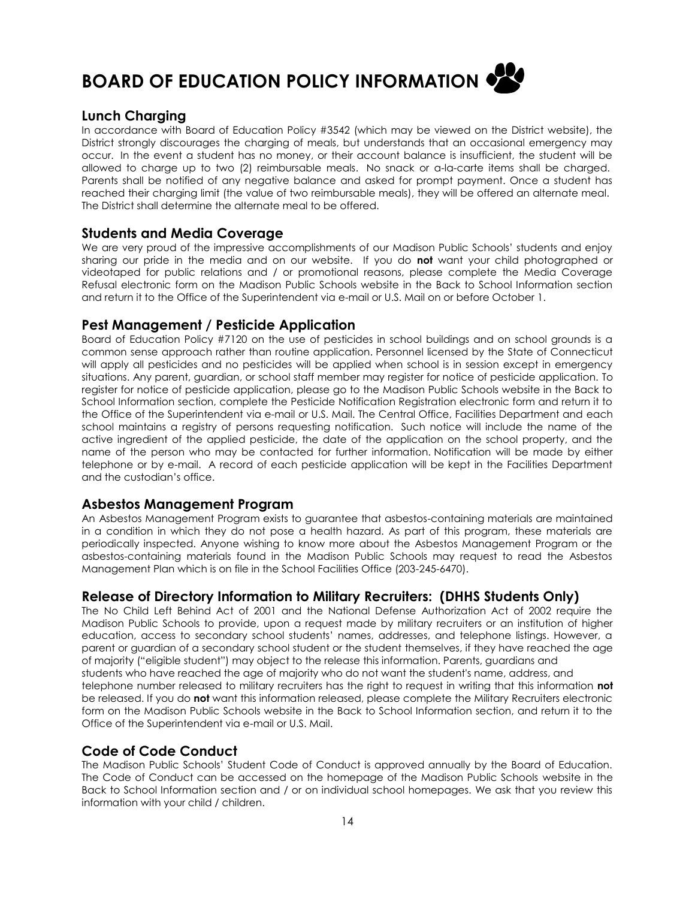<span id="page-13-0"></span>

# <span id="page-13-1"></span>**Lunch Charging**

In accordance with Board of Education Policy #3542 (which may be viewed on the District website), the District strongly discourages the charging of meals, but understands that an occasional emergency may occur. In the event a student has no money, or their account balance is insufficient, the student will be allowed to charge up to two (2) reimbursable meals. No snack or a-la-carte items shall be charged. Parents shall be notified of any negative balance and asked for prompt payment. Once a student has reached their charging limit (the value of two reimbursable meals), they will be offered an alternate meal. The District shall determine the alternate meal to be offered.

# <span id="page-13-2"></span>**Students and Media Coverage**

We are very proud of the impressive accomplishments of our Madison Public Schools' students and enjoy sharing our pride in the media and on our website. If you do **not** want your child photographed or videotaped for public relations and / or promotional reasons, please complete the Media Coverage Refusal electronic form on the Madison Public Schools website in the Back to School Information section and return it to the Office of the Superintendent via e-mail or U.S. Mail on or before October 1.

# <span id="page-13-3"></span>**Pest Management / Pesticide Application**

Board of Education Policy #7120 on the use of pesticides in school buildings and on school grounds is a common sense approach rather than routine application. Personnel licensed by the State of Connecticut will apply all pesticides and no pesticides will be applied when school is in session except in emergency situations. Any parent, guardian, or school staff member may register for notice of pesticide application. To register for notice of pesticide application, please go to the Madison Public Schools website in the Back to School Information section, complete the Pesticide Notification Registration electronic form and return it to the Office of the Superintendent via e-mail or U.S. Mail. The Central Office, Facilities Department and each school maintains a registry of persons requesting notification. Such notice will include the name of the active ingredient of the applied pesticide, the date of the application on the school property, and the name of the person who may be contacted for further information. Notification will be made by either telephone or by e-mail. A record of each pesticide application will be kept in the Facilities Department and the custodian's office.

# <span id="page-13-4"></span>**Asbestos Management Program**

An Asbestos Management Program exists to guarantee that asbestos-containing materials are maintained in a condition in which they do not pose a health hazard. As part of this program, these materials are periodically inspected. Anyone wishing to know more about the Asbestos Management Program or the asbestos-containing materials found in the Madison Public Schools may request to read the Asbestos Management Plan which is on file in the School Facilities Office (203-245-6470).

# <span id="page-13-5"></span>**Release of Directory Information to Military Recruiters: (DHHS Students Only)**

The No Child Left Behind Act of 2001 and the National Defense Authorization Act of 2002 require the Madison Public Schools to provide, upon a request made by military recruiters or an institution of higher education, access to secondary school students' names, addresses, and telephone listings. However, a parent or guardian of a secondary school student or the student themselves, if they have reached the age of majority ("eligible student") may object to the release this information. Parents, guardians and students who have reached the age of majority who do not want the student's name, address, and telephone number released to military recruiters has the right to request in writing that this information **not** be released. If you do **not** want this information released, please complete the Military Recruiters electronic form on the Madison Public Schools website in the Back to School Information section, and return it to the Office of the Superintendent via e-mail or U.S. Mail.

# <span id="page-13-6"></span>**Code of Code Conduct**

The Madison Public Schools' Student Code of Conduct is approved annually by the Board of Education. The Code of Conduct can be accessed on the homepage of the Madison Public Schools website in the Back to School Information section and / or on individual school homepages. We ask that you review this information with your child / children.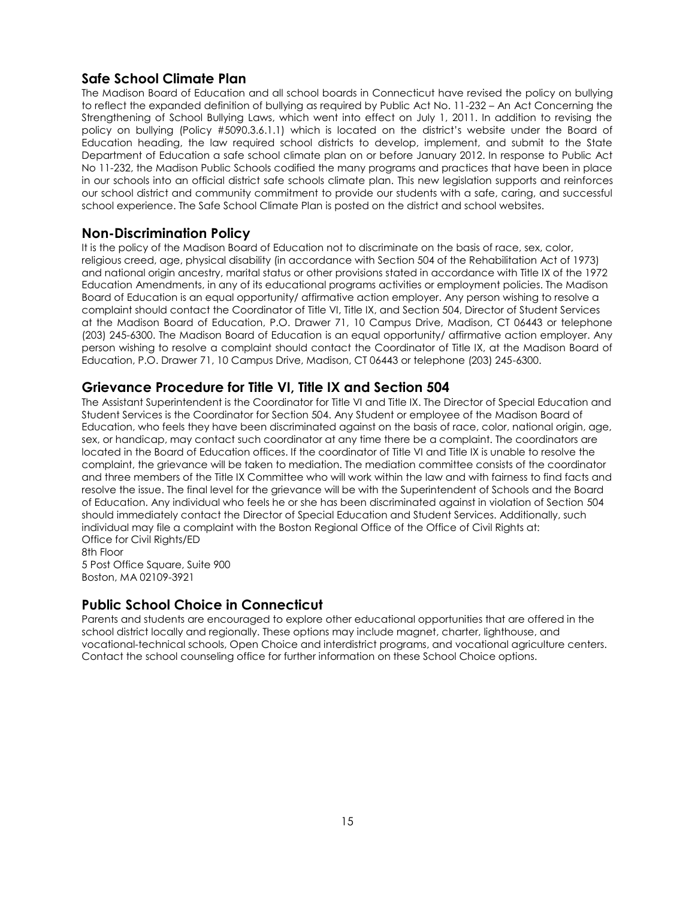# <span id="page-14-0"></span>**Safe School Climate Plan**

The Madison Board of Education and all school boards in Connecticut have revised the policy on bullying to reflect the expanded definition of bullying as required by Public Act No. 11-232 – An Act Concerning the Strengthening of School Bullying Laws, which went into effect on July 1, 2011. In addition to revising the policy on bullying (Policy #5090.3.6.1.1) which is located on the district's website under the Board of Education heading, the law required school districts to develop, implement, and submit to the State Department of Education a safe school climate plan on or before January 2012. In response to Public Act No 11-232, the Madison Public Schools codified the many programs and practices that have been in place in our schools into an official district safe schools climate plan. This new legislation supports and reinforces our school district and community commitment to provide our students with a safe, caring, and successful school experience. The Safe School Climate Plan is posted on the district and school websites.

# <span id="page-14-1"></span>**Non-Discrimination Policy**

It is the policy of the Madison Board of Education not to discriminate on the basis of race, sex, color, religious creed, age, physical disability (in accordance with Section 504 of the Rehabilitation Act of 1973) and national origin ancestry, marital status or other provisions stated in accordance with Title IX of the 1972 Education Amendments, in any of its educational programs activities or employment policies. The Madison Board of Education is an equal opportunity/ affirmative action employer. Any person wishing to resolve a complaint should contact the Coordinator of Title VI, Title IX, and Section 504, Director of Student Services at the Madison Board of Education, P.O. Drawer 71, 10 Campus Drive, Madison, CT 06443 or telephone (203) 245-6300. The Madison Board of Education is an equal opportunity/ affirmative action employer. Any person wishing to resolve a complaint should contact the Coordinator of Title IX, at the Madison Board of Education, P.O. Drawer 71, 10 Campus Drive, Madison, CT 06443 or telephone (203) 245-6300.

# <span id="page-14-2"></span>**Grievance Procedure for Title VI, Title IX and Section 504**

The Assistant Superintendent is the Coordinator for Title VI and Title IX. The Director of Special Education and Student Services is the Coordinator for Section 504. Any Student or employee of the Madison Board of Education, who feels they have been discriminated against on the basis of race, color, national origin, age, sex, or handicap, may contact such coordinator at any time there be a complaint. The coordinators are located in the Board of Education offices. If the coordinator of Title VI and Title IX is unable to resolve the complaint, the grievance will be taken to mediation. The mediation committee consists of the coordinator and three members of the Title IX Committee who will work within the law and with fairness to find facts and resolve the issue. The final level for the grievance will be with the Superintendent of Schools and the Board of Education. Any individual who feels he or she has been discriminated against in violation of Section 504 should immediately contact the Director of Special Education and Student Services. Additionally, such individual may file a complaint with the Boston Regional Office of the Office of Civil Rights at: Office for Civil Rights/ED 8th Floor

5 Post Office Square, Suite 900 Boston, MA 02109-3921

# <span id="page-14-3"></span>**Public School Choice in Connecticut**

Parents and students are encouraged to explore other educational opportunities that are offered in the school district locally and regionally. These options may include magnet, charter, lighthouse, and vocational-technical schools, Open Choice and interdistrict programs, and vocational agriculture centers. Contact the school counseling office for further information on these School Choice options.